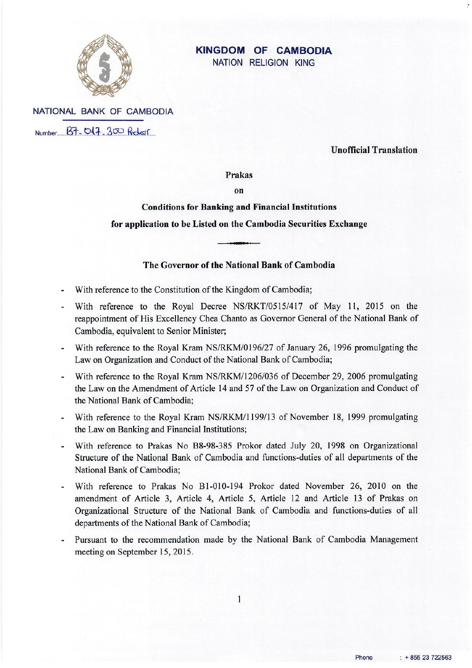

### **KINGDOM OF CAMBODIA** NATION RELIGION KING

NATIONAL BANK OF CAMBODIA Number B7-047.300 Ricker

**Unofficial Translation** 

#### Prakas

 $\alpha$ 

**Conditions for Banking and Financial Institutions** for application to be Listed on the Cambodia Securities Exchange

# The Governor of the National Bank of Cambodia

- With reference to the Constitution of the Kingdom of Cambodia;  $\mathbf{r}$
- With reference to the Royal Decree NS/RKT/0515/417 of May 11, 2015 on the reappointment of His Excellency Chea Chanto as Governor General of the National Bank of Cambodia, equivalent to Senior Minister;
- With reference to the Royal Kram NS/RKM/0196/27 of January 26, 1996 promulgating the Law on Organization and Conduct of the National Bank of Cambodia;
- With reference to the Royal Kram NS/RKM/1206/036 of December 29, 2006 promulgating  $\omega$ the Law on the Amendment of Article 14 and 57 of the Law on Organization and Conduct of the National Bank of Cambodia:
- With reference to the Royal Kram NS/RKM/1199/13 of November 18, 1999 promulgating the Law on Banking and Financial Institutions;
- With reference to Prakas No B8-98-385 Prokor dated July 20, 1998 on Organizational Structure of the National Bank of Cambodia and functions-duties of all departments of the National Bank of Cambodia:
- With reference to Prakas No B1-010-194 Prokor dated November 26, 2010 on the amendment of Article 3, Article 4, Article 5, Article 12 and Article 13 of Prakas on Organizational Structure of the National Bank of Cambodia and functions-duties of all departments of the National Bank of Cambodia;
- Pursuant to the recommendation made by the National Bank of Cambodia Management meeting on September 15, 2015.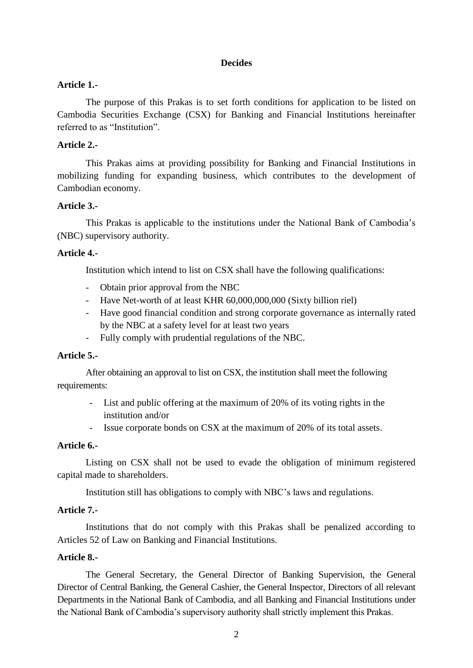#### **Decides**

### **Article 1.-**

The purpose of this Prakas is to set forth conditions for application to be listed on Cambodia Securities Exchange (CSX) for Banking and Financial Institutions hereinafter referred to as "Institution".

#### **Article 2.-**

This Prakas aims at providing possibility for Banking and Financial Institutions in mobilizing funding for expanding business, which contributes to the development of Cambodian economy.

#### **Article 3.-**

This Prakas is applicable to the institutions under the National Bank of Cambodia's (NBC) supervisory authority.

#### **Article 4.-**

Institution which intend to list on CSX shall have the following qualifications:

- Obtain prior approval from the NBC
- Have Net-worth of at least KHR 60,000,000,000 (Sixty billion riel)
- Have good financial condition and strong corporate governance as internally rated by the NBC at a safety level for at least two years
- Fully comply with prudential regulations of the NBC.

### **Article 5.-**

After obtaining an approval to list on CSX, the institution shall meet the following requirements:

- List and public offering at the maximum of 20% of its voting rights in the institution and/or
- Issue corporate bonds on CSX at the maximum of 20% of its total assets.

#### **Article 6.-**

Listing on CSX shall not be used to evade the obligation of minimum registered capital made to shareholders.

Institution still has obligations to comply with NBC's laws and regulations.

#### **Article 7.-**

Institutions that do not comply with this Prakas shall be penalized according to Articles 52 of Law on Banking and Financial Institutions.

### **Article 8.-**

The General Secretary, the General Director of Banking Supervision, the General Director of Central Banking, the General Cashier, the General Inspector, Directors of all relevant Departments in the National Bank of Cambodia, and all Banking and Financial Institutions under the National Bank of Cambodia's supervisory authority shall strictly implement this Prakas.